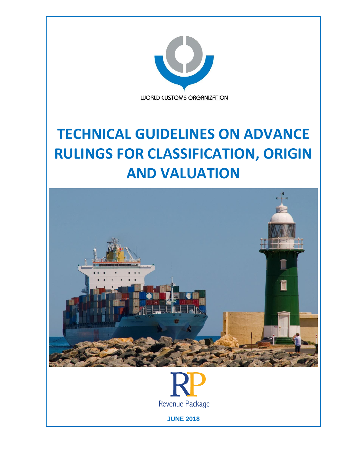

# **TECHNICAL GUIDELINES ON ADVANCE RULINGS FOR CLASSIFICATION, ORIGIN AND VALUATION**





**JUNE 2018**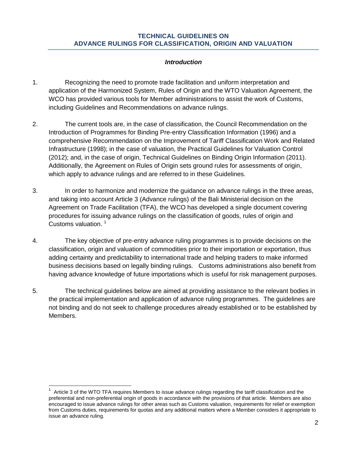#### **TECHNICAL GUIDELINES ON ADVANCE RULINGS FOR CLASSIFICATION, ORIGIN AND VALUATION**

#### *Introduction*

- 1. Recognizing the need to promote trade facilitation and uniform interpretation and application of the Harmonized System, Rules of Origin and the WTO Valuation Agreement, the WCO has provided various tools for Member administrations to assist the work of Customs, including Guidelines and Recommendations on advance rulings.
- 2. The current tools are, in the case of classification, the Council Recommendation on the Introduction of Programmes for Binding Pre-entry Classification Information (1996) and a comprehensive Recommendation on the Improvement of Tariff Classification Work and Related Infrastructure (1998); in the case of valuation, the Practical Guidelines for Valuation Control (2012); and, in the case of origin, Technical Guidelines on Binding Origin Information (2011). Additionally, the Agreement on Rules of Origin sets ground rules for assessments of origin, which apply to advance rulings and are referred to in these Guidelines.
- 3. In order to harmonize and modernize the guidance on advance rulings in the three areas, and taking into account Article 3 (Advance rulings) of the Bali Ministerial decision on the Agreement on Trade Facilitation (TFA), the WCO has developed a single document covering procedures for issuing advance rulings on the classification of goods, rules of origin and Customs valuation.<sup>1</sup>
- 4. The key objective of pre-entry advance ruling programmes is to provide decisions on the classification, origin and valuation of commodities prior to their importation or exportation, thus adding certainty and predictability to international trade and helping traders to make informed business decisions based on legally binding rulings. Customs administrations also benefit from having advance knowledge of future importations which is useful for risk management purposes.
- 5. The technical guidelines below are aimed at providing assistance to the relevant bodies in the practical implementation and application of advance ruling programmes. The guidelines are not binding and do not seek to challenge procedures already established or to be established by Members.

<sup>1</sup> Article 3 of the WTO TFA requires Members to issue advance rulings regarding the tariff classification and the preferential and non-preferential origin of goods in accordance with the provisions of that article. Members are also encouraged to issue advance rulings for other areas such as Customs valuation, requirements for relief or exemption from Customs duties, requirements for quotas and any additional matters where a Member considers it appropriate to issue an advance ruling.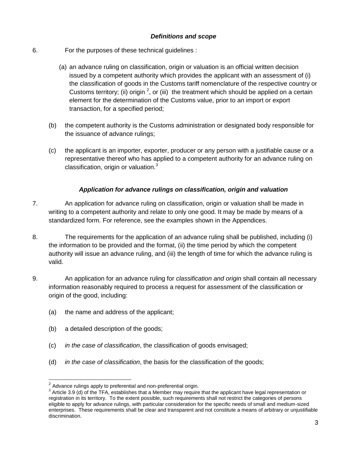#### *Definitions and scope*

- 6. For the purposes of these technical guidelines :
	- (a) an advance ruling on classification, origin or valuation is an official written decision issued by a competent authority which provides the applicant with an assessment of (i) the classification of goods in the Customs tariff nomenclature of the respective country or Customs territory; (ii) origin  $^2$ , or (iii) the treatment which should be applied on a certain element for the determination of the Customs value, prior to an import or export transaction, for a specified period;
	- (b) the competent authority is the Customs administration or designated body responsible for the issuance of advance rulings;
	- (c) the applicant is an importer, exporter, producer or any person with a justifiable cause or a representative thereof who has applied to a competent authority for an advance ruling on classification, origin or valuation.<sup>3</sup>

#### *Application for advance rulings on classification, origin and valuation*

- 7. An application for advance ruling on classification, origin or valuation shall be made in writing to a competent authority and relate to only one good. It may be made by means of a standardized form. For reference, see the examples shown in the Appendices.
- 8. The requirements for the application of an advance ruling shall be published, including (i) the information to be provided and the format, (ii) the time period by which the competent authority will issue an advance ruling, and (iii) the length of time for which the advance ruling is valid.
- 9. An application for an advance ruling for *classification and origin* shall contain all necessary information reasonably required to process a request for assessment of the classification or origin of the good, including:
	- (a) the name and address of the applicant;
	- (b) a detailed description of the goods;
	- (c) *in the case of classification*, the classification of goods envisaged;
	- (d) *in the case of classification*, the basis for the classification of the goods;

 2 Advance rulings apply to preferential and non-preferential origin.

 $3$  Article 3.9 (d) of the TFA, establishes that a Member may require that the applicant have legal representation or registration in its territory. To the extent possible, such requirements shall not restrict the categories of persons eligible to apply for advance rulings, with particular consideration for the specific needs of small and medium-sized enterprises. These requirements shall be clear and transparent and not constitute a means of arbitrary or unjustifiable discrimination.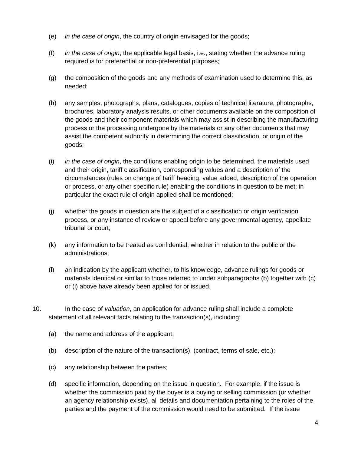- (e) *in the case of origin*, the country of origin envisaged for the goods;
- (f) *in the case of origin*, the applicable legal basis, i.e., stating whether the advance ruling required is for preferential or non-preferential purposes;
- (g) the composition of the goods and any methods of examination used to determine this, as needed;
- (h) any samples, photographs, plans, catalogues, copies of technical literature, photographs, brochures, laboratory analysis results, or other documents available on the composition of the goods and their component materials which may assist in describing the manufacturing process or the processing undergone by the materials or any other documents that may assist the competent authority in determining the correct classification, or origin of the goods;
- (i) *in the case of origin*, the conditions enabling origin to be determined, the materials used and their origin, tariff classification, corresponding values and a description of the circumstances (rules on change of tariff heading, value added, description of the operation or process, or any other specific rule) enabling the conditions in question to be met; in particular the exact rule of origin applied shall be mentioned;
- (j) whether the goods in question are the subject of a classification or origin verification process, or any instance of review or appeal before any governmental agency, appellate tribunal or court;
- (k) any information to be treated as confidential, whether in relation to the public or the administrations;
- (l) an indication by the applicant whether, to his knowledge, advance rulings for goods or materials identical or similar to those referred to under subparagraphs (b) together with (c) or (i) above have already been applied for or issued.
- 10. In the case of *valuation*, an application for advance ruling shall include a complete statement of all relevant facts relating to the transaction(s), including:
	- (a) the name and address of the applicant;
	- (b) description of the nature of the transaction(s), (contract, terms of sale, etc.);
	- (c) any relationship between the parties;
	- (d) specific information, depending on the issue in question. For example, if the issue is whether the commission paid by the buyer is a buying or selling commission (or whether an agency relationship exists), all details and documentation pertaining to the roles of the parties and the payment of the commission would need to be submitted. If the issue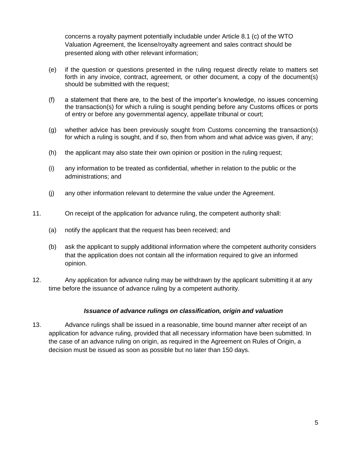concerns a royalty payment potentially includable under Article 8.1 (c) of the WTO Valuation Agreement, the license/royalty agreement and sales contract should be presented along with other relevant information;

- (e) if the question or questions presented in the ruling request directly relate to matters set forth in any invoice, contract, agreement, or other document, a copy of the document(s) should be submitted with the request;
- (f) a statement that there are, to the best of the importer's knowledge, no issues concerning the transaction(s) for which a ruling is sought pending before any Customs offices or ports of entry or before any governmental agency, appellate tribunal or court;
- (g) whether advice has been previously sought from Customs concerning the transaction(s) for which a ruling is sought, and if so, then from whom and what advice was given, if any;
- (h) the applicant may also state their own opinion or position in the ruling request;
- (i) any information to be treated as confidential, whether in relation to the public or the administrations; and
- (j) any other information relevant to determine the value under the Agreement.
- 11. On receipt of the application for advance ruling, the competent authority shall:
	- (a) notify the applicant that the request has been received; and
	- (b) ask the applicant to supply additional information where the competent authority considers that the application does not contain all the information required to give an informed opinion.
- 12. Any application for advance ruling may be withdrawn by the applicant submitting it at any time before the issuance of advance ruling by a competent authority.

#### *Issuance of advance rulings on classification, origin and valuation*

13. Advance rulings shall be issued in a reasonable, time bound manner after receipt of an application for advance ruling, provided that all necessary information have been submitted. In the case of an advance ruling on origin, as required in the Agreement on Rules of Origin, a decision must be issued as soon as possible but no later than 150 days.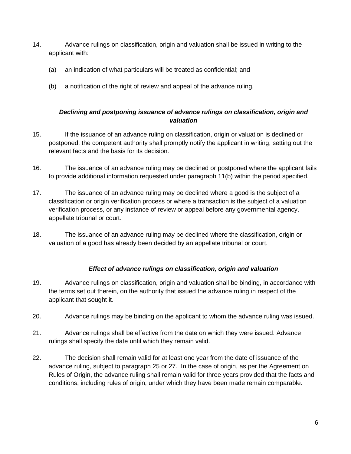- 14. Advance rulings on classification, origin and valuation shall be issued in writing to the applicant with:
	- (a) an indication of what particulars will be treated as confidential; and
	- (b) a notification of the right of review and appeal of the advance ruling.

#### *Declining and postponing issuance of advance rulings on classification, origin and valuation*

- 15. If the issuance of an advance ruling on classification, origin or valuation is declined or postponed, the competent authority shall promptly notify the applicant in writing, setting out the relevant facts and the basis for its decision.
- 16. The issuance of an advance ruling may be declined or postponed where the applicant fails to provide additional information requested under paragraph 11(b) within the period specified.
- 17. The issuance of an advance ruling may be declined where a good is the subject of a classification or origin verification process or where a transaction is the subject of a valuation verification process, or any instance of review or appeal before any governmental agency, appellate tribunal or court.
- 18. The issuance of an advance ruling may be declined where the classification, origin or valuation of a good has already been decided by an appellate tribunal or court.

#### *Effect of advance rulings on classification, origin and valuation*

- 19. Advance rulings on classification, origin and valuation shall be binding, in accordance with the terms set out therein, on the authority that issued the advance ruling in respect of the applicant that sought it.
- 20. Advance rulings may be binding on the applicant to whom the advance ruling was issued.
- 21. Advance rulings shall be effective from the date on which they were issued. Advance rulings shall specify the date until which they remain valid.
- 22. The decision shall remain valid for at least one year from the date of issuance of the advance ruling, subject to paragraph 25 or 27. In the case of origin, as per the Agreement on Rules of Origin, the advance ruling shall remain valid for three years provided that the facts and conditions, including rules of origin, under which they have been made remain comparable.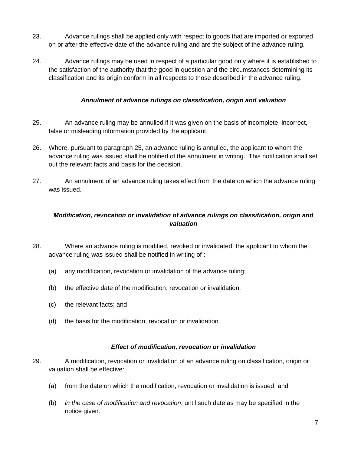- 23. Advance rulings shall be applied only with respect to goods that are imported or exported on or after the effective date of the advance ruling and are the subject of the advance ruling.
- 24. Advance rulings may be used in respect of a particular good only where it is established to the satisfaction of the authority that the good in question and the circumstances determining its classification and its origin conform in all respects to those described in the advance ruling.

#### *Annulment of advance rulings on classification, origin and valuation*

- 25. An advance ruling may be annulled if it was given on the basis of incomplete, incorrect, false or misleading information provided by the applicant.
- 26. Where, pursuant to paragraph 25, an advance ruling is annulled, the applicant to whom the advance ruling was issued shall be notified of the annulment in writing. This notification shall set out the relevant facts and basis for the decision.
- 27. An annulment of an advance ruling takes effect from the date on which the advance ruling was issued.

# *Modification, revocation or invalidation of advance rulings on classification, origin and valuation*

- 28. Where an advance ruling is modified, revoked or invalidated, the applicant to whom the advance ruling was issued shall be notified in writing of :
	- (a) any modification, revocation or invalidation of the advance ruling;
	- (b) the effective date of the modification, revocation or invalidation;
	- (c) the relevant facts; and
	- (d) the basis for the modification, revocation or invalidation.

#### *Effect of modification, revocation or invalidation*

- 29. A modification, revocation or invalidation of an advance ruling on classification, origin or valuation shall be effective:
	- (a) from the date on which the modification, revocation or invalidation is issued; and
	- (b) *in the case of modification and revocation*, until such date as may be specified in the notice given.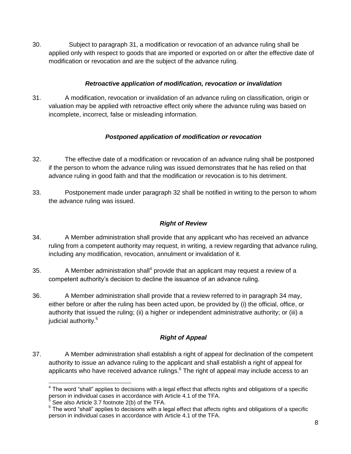30. Subject to paragraph 31, a modification or revocation of an advance ruling shall be applied only with respect to goods that are imported or exported on or after the effective date of modification or revocation and are the subject of the advance ruling.

# *Retroactive application of modification, revocation or invalidation*

31. A modification, revocation or invalidation of an advance ruling on classification, origin or valuation may be applied with retroactive effect only where the advance ruling was based on incomplete, incorrect, false or misleading information.

# *Postponed application of modification or revocation*

- 32. The effective date of a modification or revocation of an advance ruling shall be postponed if the person to whom the advance ruling was issued demonstrates that he has relied on that advance ruling in good faith and that the modification or revocation is to his detriment.
- 33. Postponement made under paragraph 32 shall be notified in writing to the person to whom the advance ruling was issued.

# *Right of Review*

- 34. A Member administration shall provide that any applicant who has received an advance ruling from a competent authority may request, in writing, a review regarding that advance ruling, including any modification, revocation, annulment or invalidation of it.
- 35. A Member administration shall<sup>4</sup> provide that an applicant may request a review of a competent authority's decision to decline the issuance of an advance ruling.
- 36. A Member administration shall provide that a review referred to in paragraph 34 may, either before or after the ruling has been acted upon, be provided by (i) the official, office, or authority that issued the ruling; (ii) a higher or independent administrative authority; or (iii) a judicial authority.<sup>5</sup>

# *Right of Appeal*

37. A Member administration shall establish a right of appeal for declination of the competent authority to issue an advance ruling to the applicant and shall establish a right of appeal for applicants who have received advance rulings. $6$  The right of appeal may include access to an

  $4$  The word "shall" applies to decisions with a legal effect that affects rights and obligations of a specific person in individual cases in accordance with Article 4.1 of the TFA.

<sup>5</sup> See also Article 3.7 footnote 2(b) of the TFA.

 $6$  The word "shall" applies to decisions with a legal effect that affects rights and obligations of a specific person in individual cases in accordance with Article 4.1 of the TFA.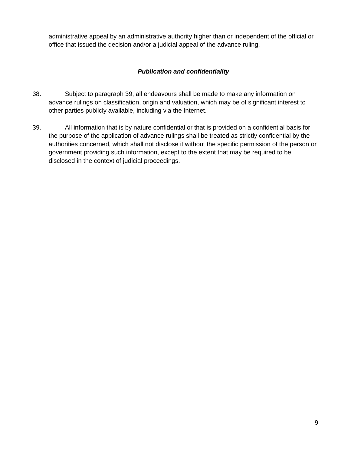administrative appeal by an administrative authority higher than or independent of the official or office that issued the decision and/or a judicial appeal of the advance ruling.

#### *Publication and confidentiality*

- 38. Subject to paragraph 39, all endeavours shall be made to make any information on advance rulings on classification, origin and valuation, which may be of significant interest to other parties publicly available, including via the Internet.
- 39. All information that is by nature confidential or that is provided on a confidential basis for the purpose of the application of advance rulings shall be treated as strictly confidential by the authorities concerned, which shall not disclose it without the specific permission of the person or government providing such information, except to the extent that may be required to be disclosed in the context of judicial proceedings.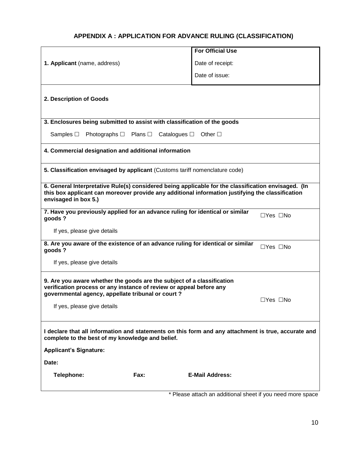# **APPENDIX A : APPLICATION FOR ADVANCE RULING (CLASSIFICATION)**

|                                                                                                                                                                                                                                 |                                                                | <b>For Official Use</b> |                      |  |  |  |
|---------------------------------------------------------------------------------------------------------------------------------------------------------------------------------------------------------------------------------|----------------------------------------------------------------|-------------------------|----------------------|--|--|--|
| 1. Applicant (name, address)                                                                                                                                                                                                    |                                                                | Date of receipt:        |                      |  |  |  |
|                                                                                                                                                                                                                                 |                                                                | Date of issue:          |                      |  |  |  |
| 2. Description of Goods                                                                                                                                                                                                         |                                                                |                         |                      |  |  |  |
| 3. Enclosures being submitted to assist with classification of the goods                                                                                                                                                        |                                                                |                         |                      |  |  |  |
| Samples $\Box$                                                                                                                                                                                                                  | Photographs $\Box$ Plans $\Box$ Catalogues $\Box$ Other $\Box$ |                         |                      |  |  |  |
| 4. Commercial designation and additional information                                                                                                                                                                            |                                                                |                         |                      |  |  |  |
| 5. Classification envisaged by applicant (Customs tariff nomenclature code)                                                                                                                                                     |                                                                |                         |                      |  |  |  |
| 6. General Interpretative Rule(s) considered being applicable for the classification envisaged. (In<br>this box applicant can moreover provide any additional information justifying the classification<br>envisaged in box 5.) |                                                                |                         |                      |  |  |  |
| 7. Have you previously applied for an advance ruling for identical or similar<br>goods?                                                                                                                                         |                                                                |                         | $\Box$ Yes $\Box$ No |  |  |  |
| If yes, please give details                                                                                                                                                                                                     |                                                                |                         |                      |  |  |  |
| 8. Are you aware of the existence of an advance ruling for identical or similar<br>$\Box$ Yes $\Box$ No<br>goods?                                                                                                               |                                                                |                         |                      |  |  |  |
| If yes, please give details                                                                                                                                                                                                     |                                                                |                         |                      |  |  |  |
| 9. Are you aware whether the goods are the subject of a classification<br>verification process or any instance of review or appeal before any<br>governmental agency, appellate tribunal or court?                              |                                                                |                         |                      |  |  |  |
| If yes, please give details                                                                                                                                                                                                     |                                                                |                         | $\Box$ Yes $\Box$ No |  |  |  |
| I declare that all information and statements on this form and any attachment is true, accurate and<br>complete to the best of my knowledge and belief.                                                                         |                                                                |                         |                      |  |  |  |
| <b>Applicant's Signature:</b>                                                                                                                                                                                                   |                                                                |                         |                      |  |  |  |
| Date:                                                                                                                                                                                                                           |                                                                |                         |                      |  |  |  |
| Telephone:                                                                                                                                                                                                                      | Fax:                                                           | <b>E-Mail Address:</b>  |                      |  |  |  |

\* Please attach an additional sheet if you need more space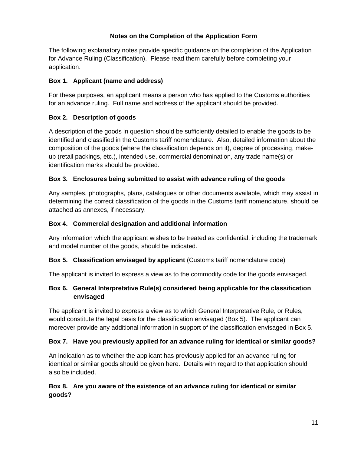#### **Notes on the Completion of the Application Form**

The following explanatory notes provide specific guidance on the completion of the Application for Advance Ruling (Classification). Please read them carefully before completing your application.

#### **Box 1. Applicant (name and address)**

For these purposes, an applicant means a person who has applied to the Customs authorities for an advance ruling. Full name and address of the applicant should be provided.

# **Box 2. Description of goods**

A description of the goods in question should be sufficiently detailed to enable the goods to be identified and classified in the Customs tariff nomenclature. Also, detailed information about the composition of the goods (where the classification depends on it), degree of processing, makeup (retail packings, etc.), intended use, commercial denomination, any trade name(s) or identification marks should be provided.

# **Box 3. Enclosures being submitted to assist with advance ruling of the goods**

Any samples, photographs, plans, catalogues or other documents available, which may assist in determining the correct classification of the goods in the Customs tariff nomenclature, should be attached as annexes, if necessary.

# **Box 4. Commercial designation and additional information**

Any information which the applicant wishes to be treated as confidential, including the trademark and model number of the goods, should be indicated.

# **Box 5. Classification envisaged by applicant** (Customs tariff nomenclature code)

The applicant is invited to express a view as to the commodity code for the goods envisaged.

# **Box 6. General Interpretative Rule(s) considered being applicable for the classification envisaged**

The applicant is invited to express a view as to which General Interpretative Rule, or Rules, would constitute the legal basis for the classification envisaged (Box 5). The applicant can moreover provide any additional information in support of the classification envisaged in Box 5.

#### **Box 7. Have you previously applied for an advance ruling for identical or similar goods?**

An indication as to whether the applicant has previously applied for an advance ruling for identical or similar goods should be given here. Details with regard to that application should also be included.

# **Box 8. Are you aware of the existence of an advance ruling for identical or similar goods?**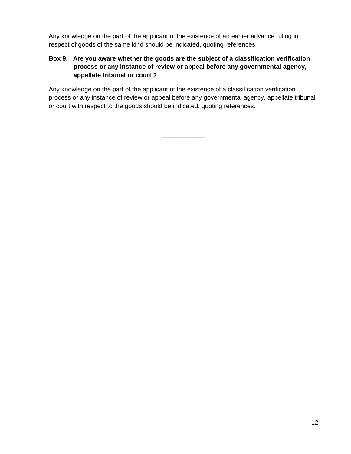Any knowledge on the part of the applicant of the existence of an earlier advance ruling in respect of goods of the same kind should be indicated, quoting references.

# **Box 9. Are you aware whether the goods are the subject of a classification verification process or any instance of review or appeal before any governmental agency, appellate tribunal or court ?**

Any knowledge on the part of the applicant of the existence of a classification verification process or any instance of review or appeal before any governmental agency, appellate tribunal or court with respect to the goods should be indicated, quoting references.

\_\_\_\_\_\_\_\_\_\_\_\_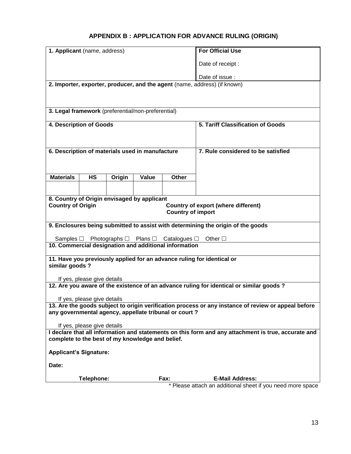# **APPENDIX B : APPLICATION FOR ADVANCE RULING (ORIGIN)**

| 1. Applicant (name, address)                                                                                                                                 |                                                                 |        |       | <b>For Official Use</b> |                                                                                      |  |
|--------------------------------------------------------------------------------------------------------------------------------------------------------------|-----------------------------------------------------------------|--------|-------|-------------------------|--------------------------------------------------------------------------------------|--|
|                                                                                                                                                              |                                                                 |        |       | Date of receipt :       |                                                                                      |  |
|                                                                                                                                                              |                                                                 |        |       | Date of issue :         |                                                                                      |  |
|                                                                                                                                                              |                                                                 |        |       |                         | 2. Importer, exporter, producer, and the agent (name, address) (if known)            |  |
|                                                                                                                                                              |                                                                 |        |       |                         |                                                                                      |  |
|                                                                                                                                                              |                                                                 |        |       |                         |                                                                                      |  |
| 3. Legal framework (preferential/non-preferential)                                                                                                           |                                                                 |        |       |                         |                                                                                      |  |
| 4. Description of Goods                                                                                                                                      |                                                                 |        |       |                         | 5. Tariff Classification of Goods                                                    |  |
|                                                                                                                                                              |                                                                 |        |       |                         |                                                                                      |  |
|                                                                                                                                                              | 6. Description of materials used in manufacture                 |        |       |                         |                                                                                      |  |
|                                                                                                                                                              |                                                                 |        |       |                         | 7. Rule considered to be satisfied                                                   |  |
|                                                                                                                                                              |                                                                 |        |       |                         |                                                                                      |  |
| <b>Materials</b>                                                                                                                                             | <b>HS</b>                                                       | Origin | Value | Other                   |                                                                                      |  |
|                                                                                                                                                              |                                                                 |        |       |                         |                                                                                      |  |
| 8. Country of Origin envisaged by applicant                                                                                                                  |                                                                 |        |       |                         |                                                                                      |  |
|                                                                                                                                                              | <b>Country of Origin</b><br>Country of export (where different) |        |       |                         |                                                                                      |  |
| <b>Country of import</b>                                                                                                                                     |                                                                 |        |       |                         |                                                                                      |  |
| 9. Enclosures being submitted to assist with determining the origin of the goods                                                                             |                                                                 |        |       |                         |                                                                                      |  |
| Photographs $\Box$<br>Plans $\square$ Catalogues $\square$<br>Other $\square$<br>Samples $\Box$                                                              |                                                                 |        |       |                         |                                                                                      |  |
| 10. Commercial designation and additional information                                                                                                        |                                                                 |        |       |                         |                                                                                      |  |
| 11. Have you previously applied for an advance ruling for identical or                                                                                       |                                                                 |        |       |                         |                                                                                      |  |
| similar goods?                                                                                                                                               |                                                                 |        |       |                         |                                                                                      |  |
|                                                                                                                                                              | If yes, please give details                                     |        |       |                         |                                                                                      |  |
| 12. Are you aware of the existence of an advance ruling for identical or similar goods?                                                                      |                                                                 |        |       |                         |                                                                                      |  |
| If yes, please give details                                                                                                                                  |                                                                 |        |       |                         |                                                                                      |  |
| 13. Are the goods subject to origin verification process or any instance of review or appeal before<br>any governmental agency, appellate tribunal or court? |                                                                 |        |       |                         |                                                                                      |  |
| If yes, please give details                                                                                                                                  |                                                                 |        |       |                         |                                                                                      |  |
| I declare that all information and statements on this form and any attachment is true, accurate and                                                          |                                                                 |        |       |                         |                                                                                      |  |
| complete to the best of my knowledge and belief.                                                                                                             |                                                                 |        |       |                         |                                                                                      |  |
| <b>Applicant's Signature:</b>                                                                                                                                |                                                                 |        |       |                         |                                                                                      |  |
| Date:                                                                                                                                                        |                                                                 |        |       |                         |                                                                                      |  |
|                                                                                                                                                              |                                                                 |        |       |                         |                                                                                      |  |
|                                                                                                                                                              | Telephone:                                                      |        |       | Fax:                    | <b>E-Mail Address:</b><br>* Please attach an additional sheet if you need more space |  |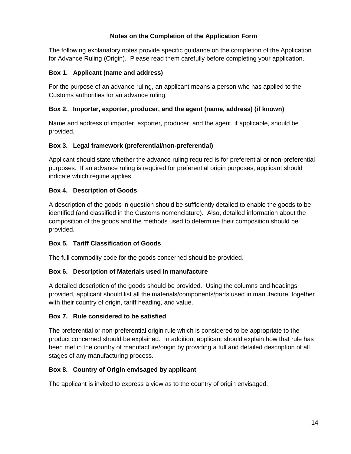#### **Notes on the Completion of the Application Form**

The following explanatory notes provide specific guidance on the completion of the Application for Advance Ruling (Origin). Please read them carefully before completing your application.

#### **Box 1. Applicant (name and address)**

For the purpose of an advance ruling, an applicant means a person who has applied to the Customs authorities for an advance ruling.

# **Box 2. Importer, exporter, producer, and the agent (name, address) (if known)**

Name and address of importer, exporter, producer, and the agent, if applicable, should be provided.

#### **Box 3. Legal framework (preferential/non-preferential)**

Applicant should state whether the advance ruling required is for preferential or non-preferential purposes. If an advance ruling is required for preferential origin purposes, applicant should indicate which regime applies.

# **Box 4. Description of Goods**

A description of the goods in question should be sufficiently detailed to enable the goods to be identified (and classified in the Customs nomenclature). Also, detailed information about the composition of the goods and the methods used to determine their composition should be provided.

# **Box 5. Tariff Classification of Goods**

The full commodity code for the goods concerned should be provided.

# **Box 6. Description of Materials used in manufacture**

A detailed description of the goods should be provided. Using the columns and headings provided, applicant should list all the materials/components/parts used in manufacture, together with their country of origin, tariff heading, and value.

#### **Box 7. Rule considered to be satisfied**

The preferential or non-preferential origin rule which is considered to be appropriate to the product concerned should be explained. In addition, applicant should explain how that rule has been met in the country of manufacture/origin by providing a full and detailed description of all stages of any manufacturing process.

#### **Box 8. Country of Origin envisaged by applicant**

The applicant is invited to express a view as to the country of origin envisaged.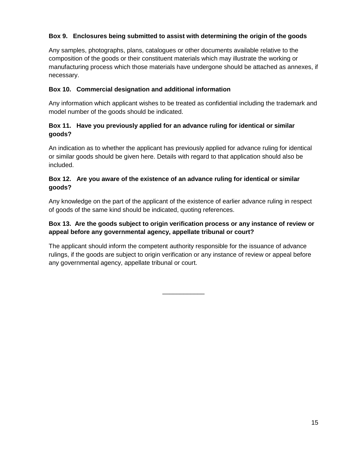#### **Box 9. Enclosures being submitted to assist with determining the origin of the goods**

Any samples, photographs, plans, catalogues or other documents available relative to the composition of the goods or their constituent materials which may illustrate the working or manufacturing process which those materials have undergone should be attached as annexes, if necessary.

#### **Box 10. Commercial designation and additional information**

Any information which applicant wishes to be treated as confidential including the trademark and model number of the goods should be indicated.

#### **Box 11. Have you previously applied for an advance ruling for identical or similar goods?**

An indication as to whether the applicant has previously applied for advance ruling for identical or similar goods should be given here. Details with regard to that application should also be included.

#### **Box 12. Are you aware of the existence of an advance ruling for identical or similar goods?**

Any knowledge on the part of the applicant of the existence of earlier advance ruling in respect of goods of the same kind should be indicated, quoting references.

#### **Box 13. Are the goods subject to origin verification process or any instance of review or appeal before any governmental agency, appellate tribunal or court?**

The applicant should inform the competent authority responsible for the issuance of advance rulings, if the goods are subject to origin verification or any instance of review or appeal before any governmental agency, appellate tribunal or court.

\_\_\_\_\_\_\_\_\_\_\_\_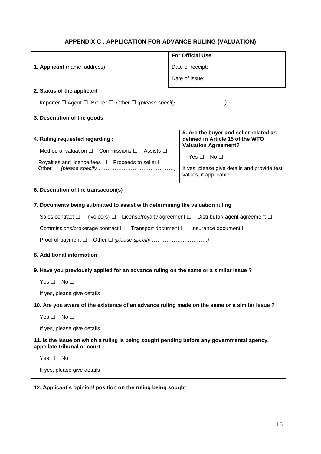# **APPENDIX C : APPLICATION FOR ADVANCE RULING (VALUATION)**

|                                                                                                                                                                      |                                                                                               | <b>For Official Use</b>                                                                                   |                    |                                                                       |  |  |
|----------------------------------------------------------------------------------------------------------------------------------------------------------------------|-----------------------------------------------------------------------------------------------|-----------------------------------------------------------------------------------------------------------|--------------------|-----------------------------------------------------------------------|--|--|
|                                                                                                                                                                      |                                                                                               |                                                                                                           |                    |                                                                       |  |  |
| 1. Applicant (name, address)                                                                                                                                         | Date of receipt:                                                                              |                                                                                                           |                    |                                                                       |  |  |
|                                                                                                                                                                      |                                                                                               | Date of issue:                                                                                            |                    |                                                                       |  |  |
| 2. Status of the applicant                                                                                                                                           |                                                                                               |                                                                                                           |                    |                                                                       |  |  |
|                                                                                                                                                                      |                                                                                               |                                                                                                           |                    |                                                                       |  |  |
| 3. Description of the goods                                                                                                                                          |                                                                                               |                                                                                                           |                    |                                                                       |  |  |
| 4. Ruling requested regarding :<br>Method of valuation $\Box$ Commissions $\Box$ Assists $\Box$<br>Royalties and licence fees $\square$ Proceeds to seller $\square$ |                                                                                               | 5. Are the buyer and seller related as<br>defined in Article 15 of the WTO<br><b>Valuation Agreement?</b> |                    |                                                                       |  |  |
|                                                                                                                                                                      |                                                                                               |                                                                                                           | $Yes \Box No \Box$ |                                                                       |  |  |
|                                                                                                                                                                      |                                                                                               |                                                                                                           |                    | If yes, please give details and provide test<br>values, if applicable |  |  |
| 6. Description of the transaction(s)                                                                                                                                 |                                                                                               |                                                                                                           |                    |                                                                       |  |  |
| 7. Documents being submitted to assist with determining the valuation ruling                                                                                         |                                                                                               |                                                                                                           |                    |                                                                       |  |  |
| Sales contract $\Box$ Invoice(s) $\Box$ License/royalty agreement $\Box$ Distributor/ agent agreement $\Box$                                                         |                                                                                               |                                                                                                           |                    |                                                                       |  |  |
| Commissions/brokerage contract □ Transport document □ Insurance document □                                                                                           |                                                                                               |                                                                                                           |                    |                                                                       |  |  |
|                                                                                                                                                                      |                                                                                               |                                                                                                           |                    |                                                                       |  |  |
| 8. Additional information                                                                                                                                            |                                                                                               |                                                                                                           |                    |                                                                       |  |  |
| 9. Have you previously applied for an advance ruling on the same or a similar issue ?                                                                                |                                                                                               |                                                                                                           |                    |                                                                       |  |  |
| Yes $\Box$<br>No $\Box$                                                                                                                                              |                                                                                               |                                                                                                           |                    |                                                                       |  |  |
| If yes, please give details                                                                                                                                          |                                                                                               |                                                                                                           |                    |                                                                       |  |  |
|                                                                                                                                                                      | 10. Are you aware of the existence of an advance ruling made on the same or a similar issue ? |                                                                                                           |                    |                                                                       |  |  |
| No <sub>1</sub><br>Yes $\Box$                                                                                                                                        |                                                                                               |                                                                                                           |                    |                                                                       |  |  |
| If yes, please give details                                                                                                                                          |                                                                                               |                                                                                                           |                    |                                                                       |  |  |
| 11. Is the issue on which a ruling is being sought pending before any governmental agency,<br>appellate tribunal or court                                            |                                                                                               |                                                                                                           |                    |                                                                       |  |  |
| Yes $\Box$<br>No <sub>1</sub>                                                                                                                                        |                                                                                               |                                                                                                           |                    |                                                                       |  |  |
| If yes, please give details                                                                                                                                          |                                                                                               |                                                                                                           |                    |                                                                       |  |  |
| 12. Applicant's opinion/ position on the ruling being sought                                                                                                         |                                                                                               |                                                                                                           |                    |                                                                       |  |  |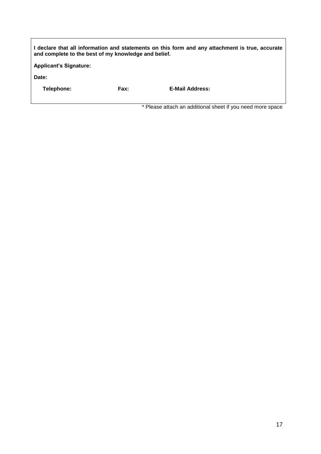| and complete to the best of my knowledge and belief. |      | I declare that all information and statements on this form and any attachment is true, accurate |
|------------------------------------------------------|------|-------------------------------------------------------------------------------------------------|
| <b>Applicant's Signature:</b>                        |      |                                                                                                 |
| Date:                                                |      |                                                                                                 |
| Telephone:                                           | Fax: | <b>E-Mail Address:</b>                                                                          |
|                                                      |      |                                                                                                 |
|                                                      |      | * Please attach an additional sheet if you need more space                                      |

 $\mathsf{r}$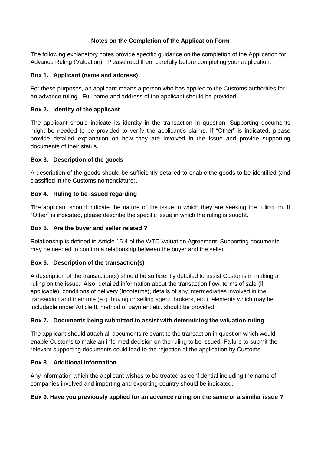#### **Notes on the Completion of the Application Form**

The following explanatory notes provide specific guidance on the completion of the Application for Advance Ruling (Valuation). Please read them carefully before completing your application.

#### **Box 1. Applicant (name and address)**

For these purposes, an applicant means a person who has applied to the Customs authorities for an advance ruling. Full name and address of the applicant should be provided.

#### **Box 2. Identity of the applicant**

The applicant should indicate its identity in the transaction in question. Supporting documents might be needed to be provided to verify the applicant's claims. If "Other" is indicated, please provide detailed explanation on how they are involved in the issue and provide supporting documents of their status.

#### **Box 3. Description of the goods**

A description of the goods should be sufficiently detailed to enable the goods to be identified (and classified in the Customs nomenclature).

#### **Box 4. Ruling to be issued regarding**

The applicant should indicate the nature of the issue in which they are seeking the ruling on. If "Other" is indicated, please describe the specific issue in which the ruling is sought.

#### **Box 5. Are the buyer and seller related ?**

Relationship is defined in Article 15.4 of the WTO Valuation Agreement. Supporting documents may be needed to confirm a relationship between the buyer and the seller.

#### **Box 6. Description of the transaction(s)**

A description of the transaction(s) should be sufficiently detailed to assist Customs in making a ruling on the issue. Also, detailed information about the transaction flow, terms of sale (if applicable), conditions of delivery (Incoterms), details of any intermediaries involved in the transaction and their role (e.g. buying or selling agent, brokers, etc.), elements which may be includable under Article 8, method of payment etc. should be provided.

#### **Box 7. Documents being submitted to assist with determining the valuation ruling**

The applicant should attach all documents relevant to the transaction in question which would enable Customs to make an informed decision on the ruling to be issued. Failure to submit the relevant supporting documents could lead to the rejection of the application by Customs.

#### **Box 8. Additional information**

Any information which the applicant wishes to be treated as confidential including the name of companies involved and importing and exporting country should be indicated.

#### **Box 9. Have you previously applied for an advance ruling on the same or a similar issue ?**